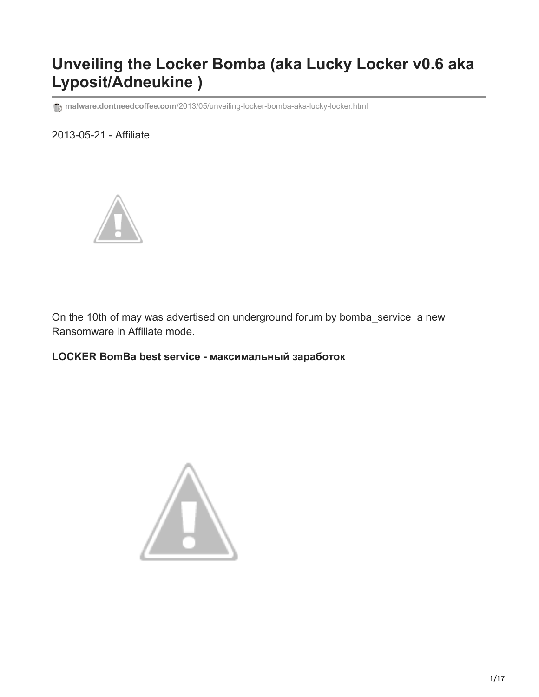# **Unveiling the Locker Bomba (aka Lucky Locker v0.6 aka Lyposit/Adneukine )**

**T**<sup>a</sup> malware.dontneedcoffee.com[/2013/05/unveiling-locker-bomba-aka-lucky-locker.html](http://malware.dontneedcoffee.com/2013/05/unveiling-locker-bomba-aka-lucky-locker.html)

2013-05-21 - Affiliate



On the 10th of may was advertised on underground forum by bomba\_service a new Ransomware in Affiliate mode.

**LOCKER BomBa best service - максимальный заработок**

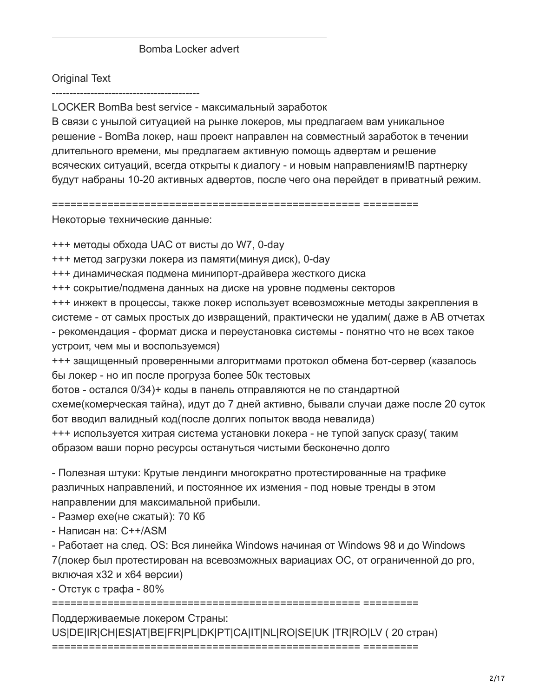#### Bomba Locker advert

#### **Original Text**

LOCKER BomBa best service - максимальный заработок

В связи с унылой ситуацией на рынке локеров, мы предлагаем вам уникальное решение - BomBa локер, наш проект направлен на совместный заработок в течении длительного времени, мы предлагаем активную помощь адвертам и решение всяческих ситуаций, всегда открыты к диалогу - и новым направлениям!В партнерку будут набраны 10-20 активных адвертов, после чего она перейдет в приватный режим.

Некоторые технические данные:

+++ методы обхода UAC от висты до W7, 0-day

+++ метод загрузки локера из памяти(минуя диск), 0-day

+++ динамическая подмена минипорт-драйвера жесткого диска

+++ сокрытие/подмена данных на диске на уровне подмены секторов

+++ инжект в процессы, также локер использует всевозможные методы закрепления в системе - от самых простых до извращений, практически не удалим(даже в АВ отчетах - рекомендация - формат диска и переустановка системы - понятно что не всех такое устроит, чем мы и воспользуемся)

+++ защищенный проверенными алгоритмами протокол обмена бот-сервер (казалось бы локер - но ип после прогруза более 50к тестовых

ботов - остался 0/34)+ коды в панель отправляются не по стандартной схеме(комерческая тайна), идут до 7 дней активно, бывали случаи даже после 20 суток бот вводил валидный код(после долгих попыток ввода невалида)

+++ используется хитрая система установки локера - не тупой запуск сразу( таким образом ваши порно ресурсы остануться чистыми бесконечно долго

- Полезная штуки: Крутые лендинги многократно протестированные на трафике различных направлений, и постоянное их измения - под новые тренды в этом направлении для максимальной прибыли.

- Размер ехе(не сжатый): 70 Кб

- Написан на: C++/ASM

- Работает на след. OS: Вся линейка Windows начиная от Windows 98 и до Windows 7 (локер был протестирован на всевозможных вариациах ОС, от ограниченной до рго, включая х32 и х64 версии)

- Отстук с трафа -  $80\%$ 

Поддерживаемые локером Страны: US|DE|IR|CH|ES|AT|BE|FR|PL|DK|PT|CA|IT|NL|RO|SE|UK |TR|RO|LV (20 стран)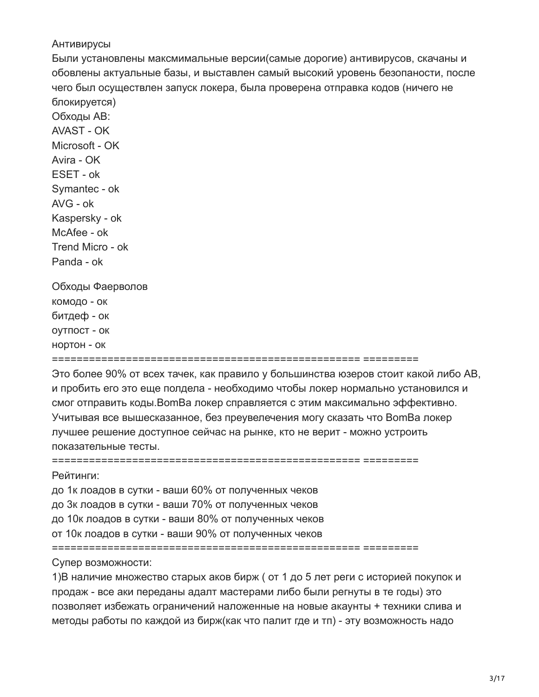#### Антивирусы

Avira - OK

Были установлены максмимальные версии(самые дорогие) антивирусов, скачаны и обовлены актуальные базы, и выставлен самый высокий уровень безопаности, после чего был осуществлен запуск локера, была проверена отправка кодов (ничего не блокируется) Обходы АВ: **AVAST - OK** Microsoft - OK

ESET - ok Symantec - ok AVG - ok Kaspersky - ok McAfee - ok

Trend Micro - ok Panda - ok Обходы Фаерволов

КОМОДО - ОК битдеф - ок

OVTNOCT - OK

HODTOH - OK

Это более 90% от всех тачек, как правило у большинства юзеров стоит какой либо АВ, и пробить его это еще полдела - необходимо чтобы локер нормально установился и смог отправить коды. Вот Ва локер справляется с этим максимально эффективно. Учитывая все вышесказанное, без преувелечения могу сказать что BomBa локер лучшее решение доступное сейчас на рынке, кто не верит - можно устроить показательные тесты.

Рейтинги:

до 1к лоадов в сутки - ваши 60% от полученных чеков

до 3к лоадов в сутки - ваши 70% от полученных чеков

до 10к лоадов в сутки - ваши 80% от полученных чеков

от 10к лоадов в сутки - ваши 90% от полученных чеков

Супер возможности:

1)В наличие множество старых аков бирж (от 1 до 5 лет реги с историей покупок и продаж - все аки переданы адалт мастерами либо были регнуты в те годы) это позволяет избежать ограничений наложенные на новые акаунты + техники слива и методы работы по каждой из бирж(как что палит где и тп) - эту возможность надо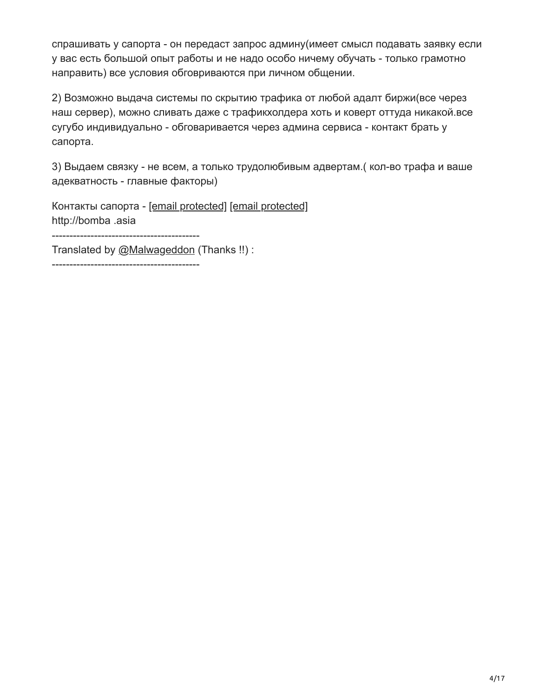спрашивать у сапорта - он передаст запрос админу(имеет смысл подавать заявку если у вас есть большой опыт работы и не надо особо ничему обучать - только грамотно направить) все условия обговриваются при личном общении.

2) Возможно выдача системы по скрытию трафика от любой адалт биржи(все через наш сервер), можно сливать даже с трафикхолдера хоть и коверт оттуда никакой.все сугубо индивидуально - обговаривается через админа сервиса - контакт брать у сапорта.

3) Выдаем связку - не всем, а только трудолюбивым адвертам.( кол-во трафа и ваше адекватность - главные факторы)

Контакты сапорта - [\[email protected\]](http://malware.dontneedcoffee.com/cdn-cgi/l/email-protection) [\[email protected\]](http://malware.dontneedcoffee.com/cdn-cgi/l/email-protection) http://bomba .asia

------------------------------------------

Translated by [@Malwageddon](https://twitter.com/Malwageddon) (Thanks !!) :

------------------------------------------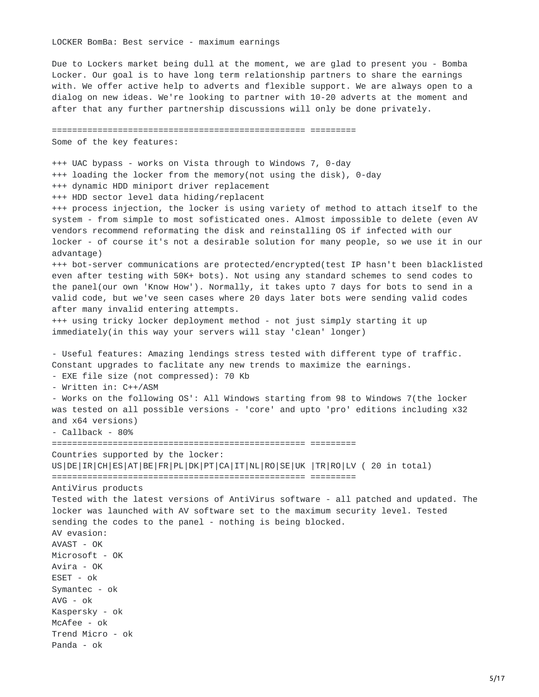LOCKER BomBa: Best service - maximum earnings

================================================== =========

Due to Lockers market being dull at the moment, we are glad to present you - Bomba Locker. Our goal is to have long term relationship partners to share the earnings with. We offer active help to adverts and flexible support. We are always open to a dialog on new ideas. We're looking to partner with 10-20 adverts at the moment and after that any further partnership discussions will only be done privately.

Some of the key features: +++ UAC bypass - works on Vista through to Windows 7, 0-day +++ loading the locker from the memory(not using the disk), 0-day +++ dynamic HDD miniport driver replacement +++ HDD sector level data hiding/replacent +++ process injection, the locker is using variety of method to attach itself to the system - from simple to most sofisticated ones. Almost impossible to delete (even AV vendors recommend reformating the disk and reinstalling OS if infected with our locker - of course it's not a desirable solution for many people, so we use it in our advantage) +++ bot-server communications are protected/encrypted(test IP hasn't been blacklisted even after testing with 50K+ bots). Not using any standard schemes to send codes to the panel(our own 'Know How'). Normally, it takes upto 7 days for bots to send in a valid code, but we've seen cases where 20 days later bots were sending valid codes after many invalid entering attempts. +++ using tricky locker deployment method - not just simply starting it up immediately(in this way your servers will stay 'clean' longer) - Useful features: Amazing lendings stress tested with different type of traffic. Constant upgrades to faclitate any new trends to maximize the earnings. - EXE file size (not compressed): 70 Kb - Written in: C++/ASM - Works on the following OS': All Windows starting from 98 to Windows 7(the locker was tested on all possible versions - 'core' and upto 'pro' editions including x32 and x64 versions) - Callback - 80% ================================================== ========= Countries supported by the locker: US|DE|IR|CH|ES|AT|BE|FR|PL|DK|PT|CA|IT|NL|RO|SE|UK |TR|RO|LV ( 20 in total) ================================================== ========= AntiVirus products Tested with the latest versions of AntiVirus software - all patched and updated. The locker was launched with AV software set to the maximum security level. Tested sending the codes to the panel - nothing is being blocked. AV evasion: AVAST - OK Microsoft - OK Avira - OK ESET - ok Symantec - ok AVG - ok Kaspersky - ok McAfee - ok Trend Micro - ok Panda - ok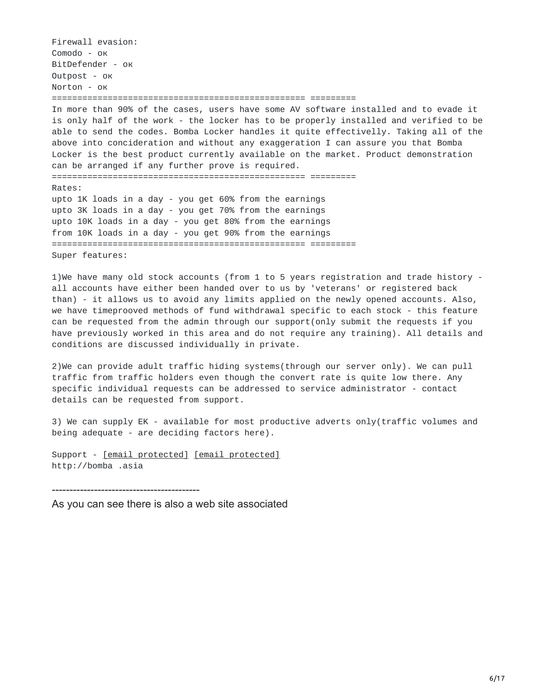Firewall evasion: Comodo - ок BitDefender - ок Outpost - ок Norton - ок ================================================== ========= In more than 90% of the cases, users have some AV software installed and to evade it is only half of the work - the locker has to be properly installed and verified to be able to send the codes. Bomba Locker handles it quite effectivelly. Taking all of the above into concideration and without any exaggeration I can assure you that Bomba Locker is the best product currently available on the market. Product demonstration can be arranged if any further prove is required. ================================================== ========= Rates: upto 1K loads in a day - you get 60% from the earnings upto 3K loads in a day - you get 70% from the earnings upto 10K loads in a day - you get 80% from the earnings from 10K loads in a day - you get 90% from the earnings ================================================== ========= Super features:

1)We have many old stock accounts (from 1 to 5 years registration and trade history all accounts have either been handed over to us by 'veterans' or registered back than) - it allows us to avoid any limits applied on the newly opened accounts. Also, we have timeprooved methods of fund withdrawal specific to each stock - this feature can be requested from the admin through our support(only submit the requests if you have previously worked in this area and do not require any training). All details and conditions are discussed individually in private.

2)We can provide adult traffic hiding systems(through our server only). We can pull traffic from traffic holders even though the convert rate is quite low there. Any specific individual requests can be addressed to service administrator - contact details can be requested from support.

3) We can supply EK - available for most productive adverts only(traffic volumes and being adequate - are deciding factors here).

Support - [email [protected\]](http://malware.dontneedcoffee.com/cdn-cgi/l/email-protection) [email protected] http://bomba .asia

------------------------------------------

As you can see there is also a web site associated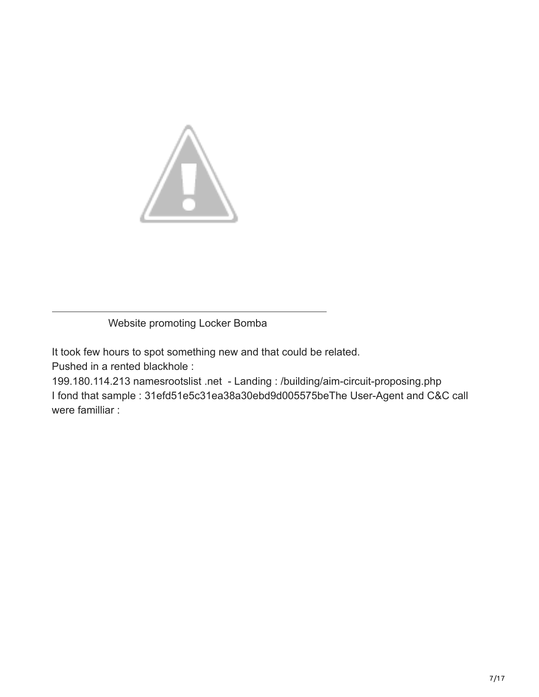

Website promoting Locker Bomba

It took few hours to spot something new and that could be related. Pushed in a rented blackhole :

199.180.114.213 namesrootslist .net - Landing : /building/aim-circuit-proposing.php I fond that sample : 31efd51e5c31ea38a30ebd9d005575beThe User-Agent and C&C call were familliar :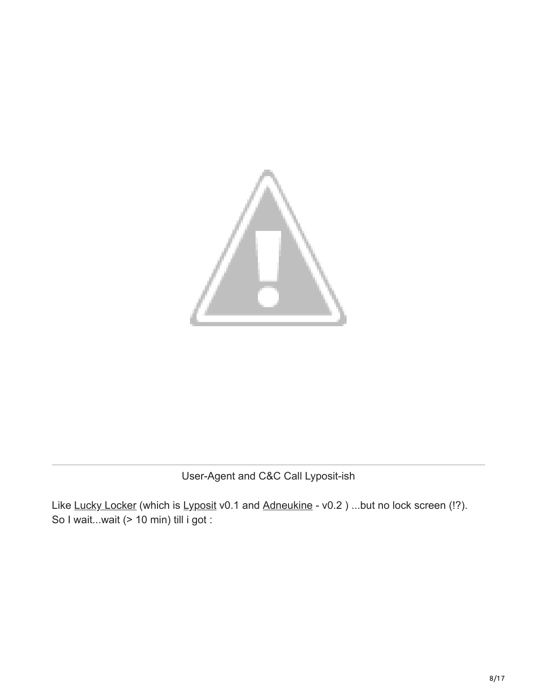

User-Agent and C&C Call Lyposit-ish

Like [Lucky Locker](https://malware.dontneedcoffee.com/2012/11/inside-view-of-lyposit-aka-for-its.html) (which is [Lyposit](https://www.botnets.fr/index.php/Lyposit) v0.1 and [Adneukine](https://www.botnets.fr/index.php/Adneukine) - v0.2) ...but no lock screen (!?). So I wait...wait (> 10 min) till i got :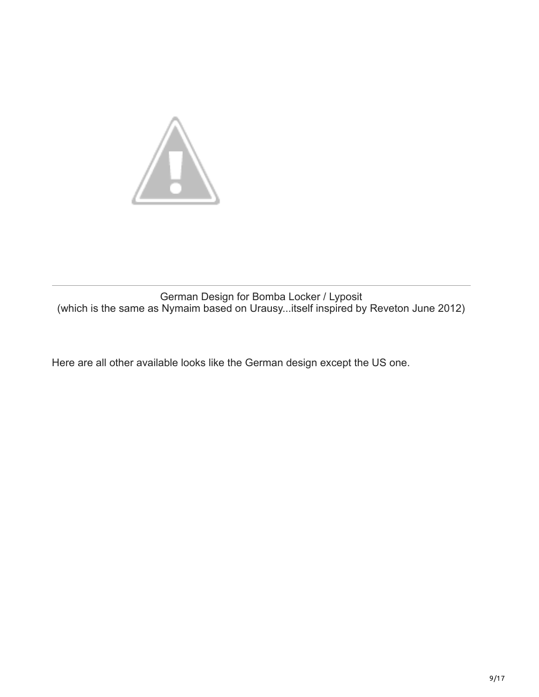

German Design for Bomba Locker / Lyposit (which is the same as Nymaim based on Urausy...itself inspired by Reveton June 2012)

Here are all other available looks like the German design except the US one.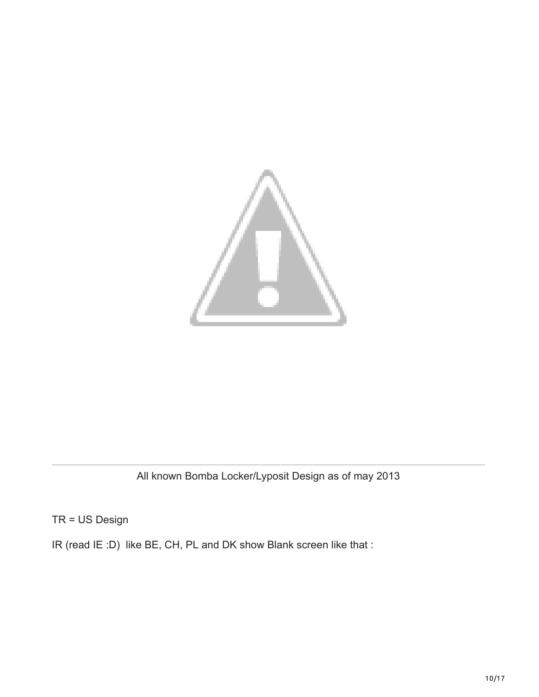

All known Bomba Locker/Lyposit Design as of may 2013

TR = US Design

IR (read IE :D) like BE, CH, PL and DK show Blank screen like that :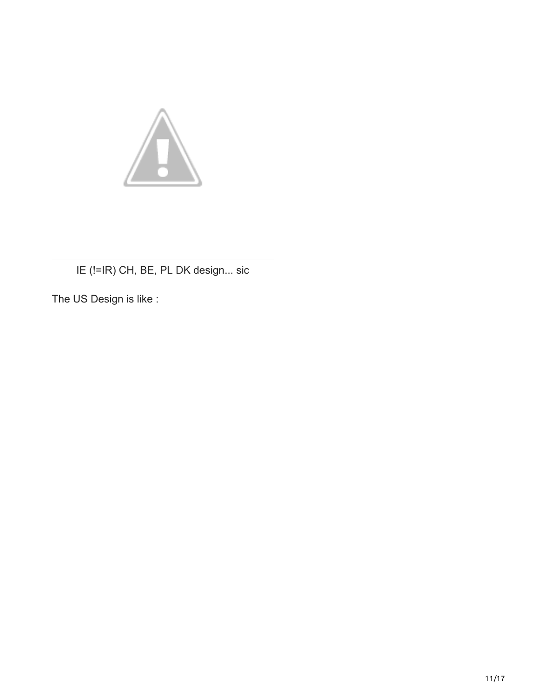

## IE (!=IR) CH, BE, PL DK design... sic

The US Design is like :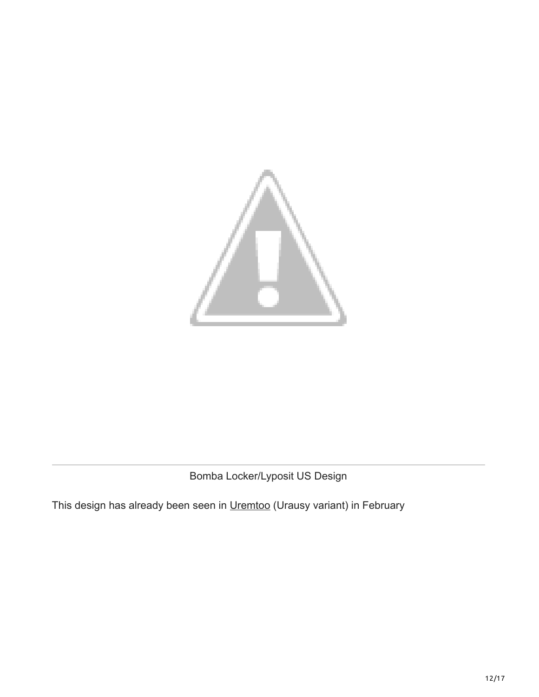

Bomba Locker/Lyposit US Design

This design has already been seen in [Uremtoo](http://botnets.fr/index.php/uremtoo) (Urausy variant) in February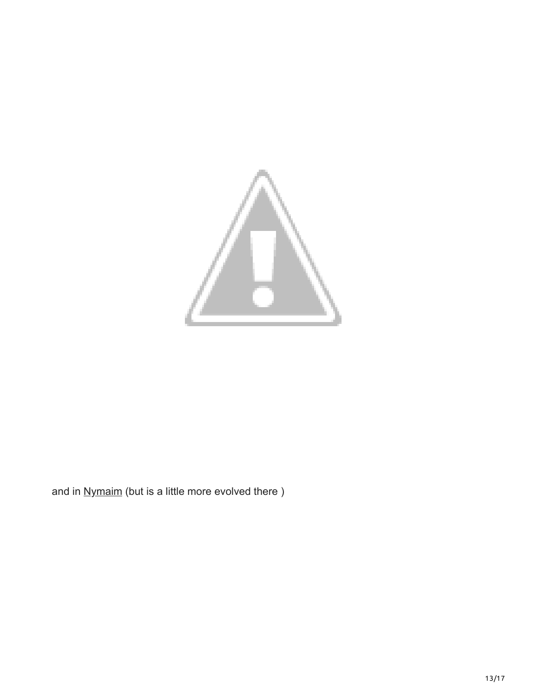

and in [Nymaim](https://www.botnets.fr/index.php/Nymaim) (but is a little more evolved there)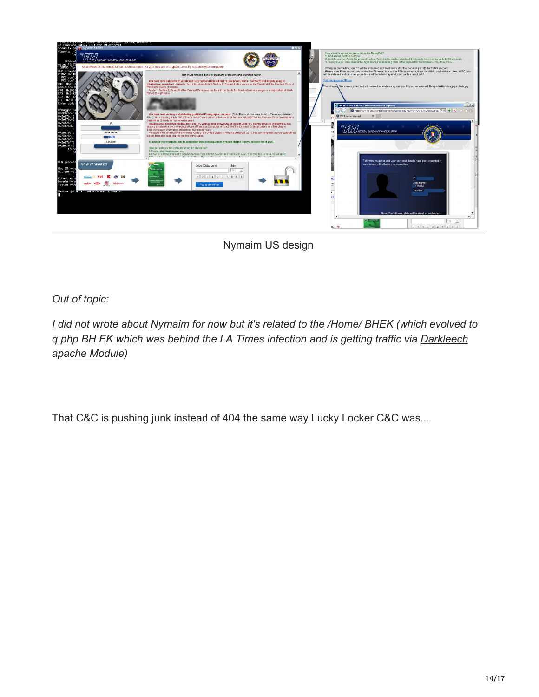

Nymaim US design

*Out of topic:*

*I did not wrote about [Nymaim](https://www.botnets.fr/index.php/Nymaim) for now but it's related to the [/Home/ BHEK](https://malware.dontneedcoffee.com/2012/09/ULockerAS36444BHEK.html) (which evolved to [q.php BH EK which was behind the LA Times infection and is getting traffic via Darkleech](https://malwaremustdie.blogspot.fr/2013/03/the-evil-came-back-darkleechs-apache.html) apache Module)*

That C&C is pushing junk instead of 404 the same way Lucky Locker C&C was...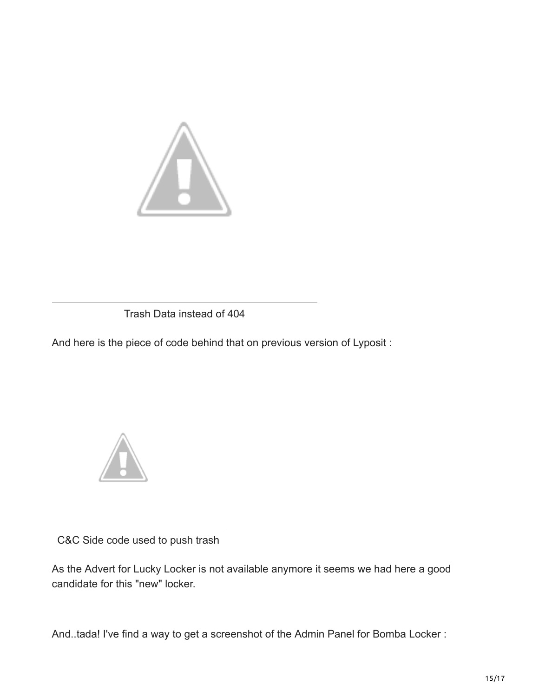

Trash Data instead of 404

And here is the piece of code behind that on previous version of Lyposit :



C&C Side code used to push trash

As the Advert for Lucky Locker is not available anymore it seems we had here a good candidate for this "new" locker.

And..tada! I've find a way to get a screenshot of the Admin Panel for Bomba Locker :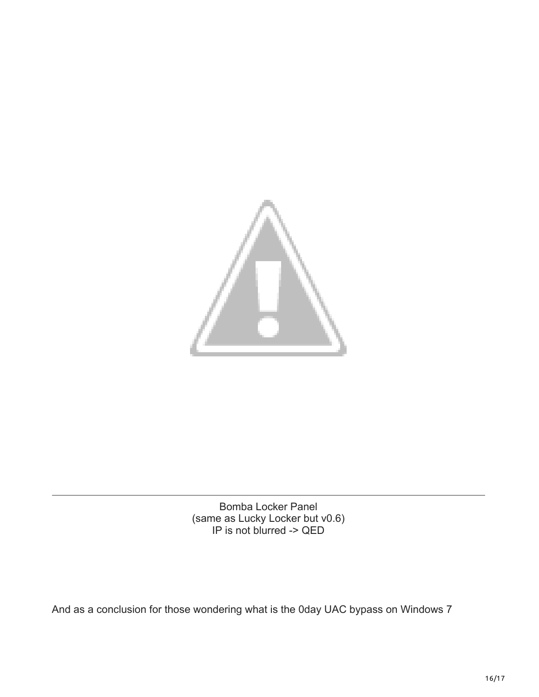

Bomba Locker Panel (same as Lucky Locker but v0.6) IP is not blurred -> QED

And as a conclusion for those wondering what is the 0day UAC bypass on Windows 7